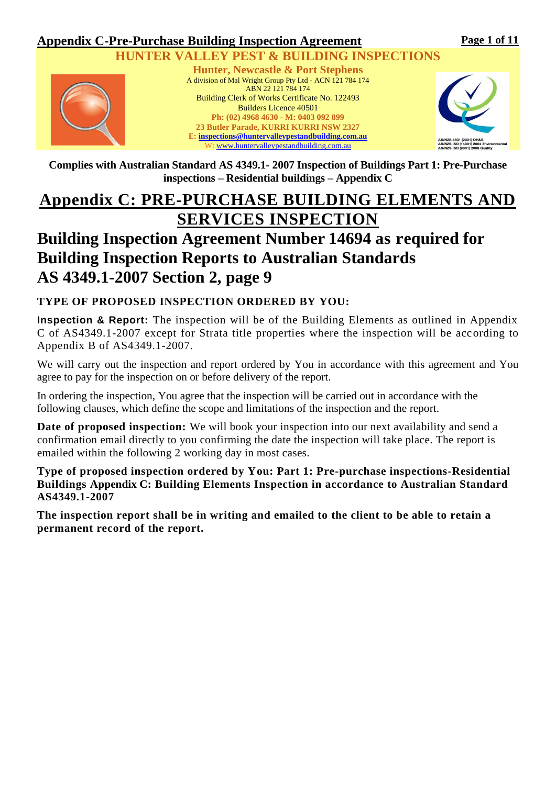### **Appendix C-Pre-Purchase Building Inspection Agreement**



### **VALLEY PEST & BUILDING INSPECTIONS**



**Hunter, Newcastle & Port Stephens** A division of Mal Wright Group Pty Ltd - ACN 121 784 174 ABN 22 121 784 174 Building Clerk of Works Certificate No. 122493 Builders Licence 40501 **Ph: (02) 4968 4630 - M: 0403 092 899 23 Butler Parade, KURRI KURRI NSW 2327 E: [inspections@huntervalleypestandbuilding.com.au](mailto:inspections@huntervalleypestandbuilding.com.au)** W: [www.huntervalleypestandbuilding.com.au](http://www.huntervalleypestandbuilding.com.au/)



**Complies with Australian Standard AS 4349.1- 2007 Inspection of Buildings Part 1: Pre-Purchase inspections – Residential buildings – Appendix C**

# **Appendix C: PRE-PURCHASE BUILDING ELEMENTS AND SERVICES INSPECTION**

# **Building Inspection Agreement Number 14694 as required for Building Inspection Reports to Australian Standards AS 4349.1-2007 Section 2, page 9**

### **TYPE OF PROPOSED INSPECTION ORDERED BY YOU:**

**Inspection & Report:** The inspection will be of the Building Elements as outlined in Appendix C of AS4349.1-2007 except for Strata title properties where the inspection will be according to Appendix B of AS4349.1-2007.

We will carry out the inspection and report ordered by You in accordance with this agreement and You agree to pay for the inspection on or before delivery of the report.

In ordering the inspection, You agree that the inspection will be carried out in accordance with the following clauses, which define the scope and limitations of the inspection and the report.

**Date of proposed inspection:** We will book your inspection into our next availability and send a confirmation email directly to you confirming the date the inspection will take place. The report is emailed within the following 2 working day in most cases.

**Type of proposed inspection ordered by You: Part 1: Pre-purchase inspections-Residential Buildings Appendix C: Building Elements Inspection in accordance to Australian Standard AS4349.1-2007** 

**The inspection report shall be in writing and emailed to the client to be able to retain a permanent record of the report.**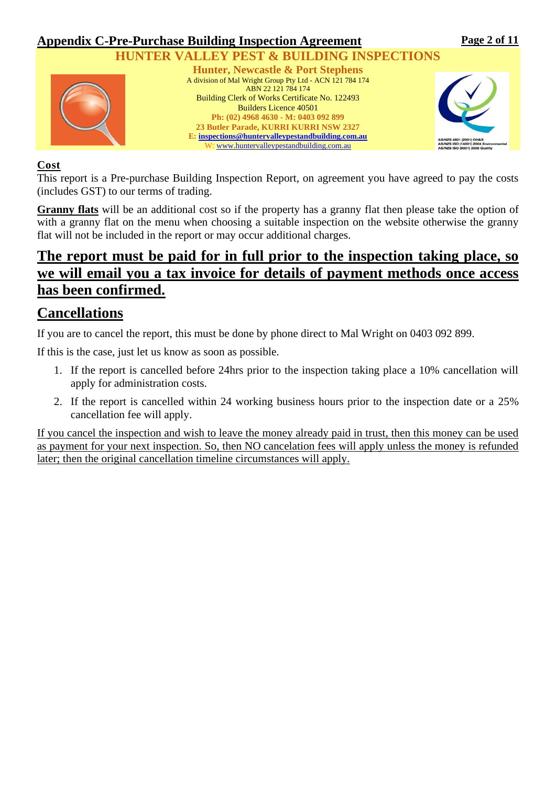

### **Cost**

This report is a Pre-purchase Building Inspection Report, on agreement you have agreed to pay the costs (includes GST) to our terms of trading.

**Granny flats** will be an additional cost so if the property has a granny flat then please take the option of with a granny flat on the menu when choosing a suitable inspection on the website otherwise the granny flat will not be included in the report or may occur additional charges.

## **The report must be paid for in full prior to the inspection taking place, so we will email you a tax invoice for details of payment methods once access has been confirmed.**

## **Cancellations**

If you are to cancel the report, this must be done by phone direct to Mal Wright on 0403 092 899.

If this is the case, just let us know as soon as possible.

- 1. If the report is cancelled before 24hrs prior to the inspection taking place a 10% cancellation will apply for administration costs.
- 2. If the report is cancelled within 24 working business hours prior to the inspection date or a 25% cancellation fee will apply.

If you cancel the inspection and wish to leave the money already paid in trust, then this money can be used as payment for your next inspection. So, then NO cancelation fees will apply unless the money is refunded later; then the original cancellation timeline circumstances will apply.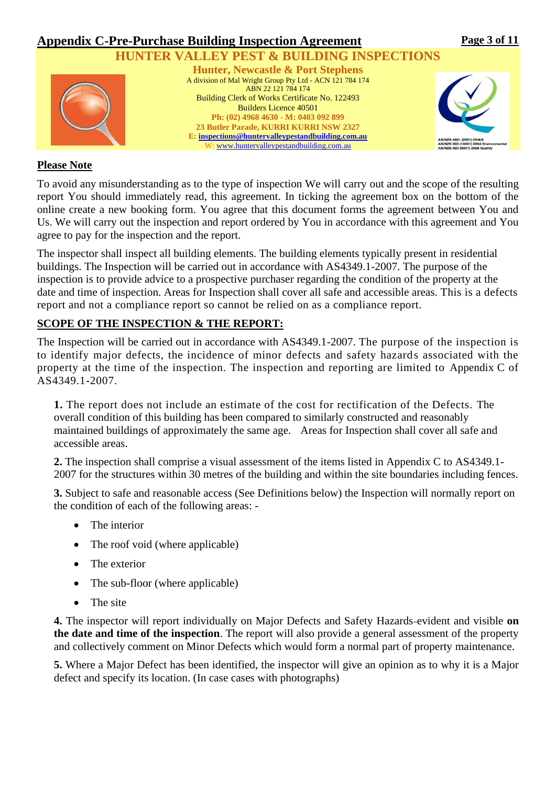

### **Please Note**

To avoid any misunderstanding as to the type of inspection We will carry out and the scope of the resulting report You should immediately read, this agreement. In ticking the agreement box on the bottom of the online create a new booking form. You agree that this document forms the agreement between You and Us. We will carry out the inspection and report ordered by You in accordance with this agreement and You agree to pay for the inspection and the report.

The inspector shall inspect all building elements. The building elements typically present in residential buildings. The Inspection will be carried out in accordance with AS4349.1-2007. The purpose of the inspection is to provide advice to a prospective purchaser regarding the condition of the property at the date and time of inspection. Areas for Inspection shall cover all safe and accessible areas. This is a defects report and not a compliance report so cannot be relied on as a compliance report.

### **SCOPE OF THE INSPECTION & THE REPORT:**

The Inspection will be carried out in accordance with AS4349.1-2007. The purpose of the inspection is to identify major defects, the incidence of minor defects and safety hazards associated with the property at the time of the inspection. The inspection and reporting are limited to Appendix C of AS4349.1-2007.

**1.** The report does not include an estimate of the cost for rectification of the Defects. The overall condition of this building has been compared to similarly constructed and reasonably maintained buildings of approximately the same age. Areas for Inspection shall cover all safe and accessible areas.

**2.** The inspection shall comprise a visual assessment of the items listed in Appendix C to AS4349.1- 2007 for the structures within 30 metres of the building and within the site boundaries including fences.

**3.** Subject to safe and reasonable access (See Definitions below) the Inspection will normally report on the condition of each of the following areas: -

- The interior
- The roof void (where applicable)
- The exterior
- The sub-floor (where applicable)
- The site

**4.** The inspector will report individually on Major Defects and Safety Hazards evident and visible **on the date and time of the inspection**. The report will also provide a general assessment of the property and collectively comment on Minor Defects which would form a normal part of property maintenance.

**5.** Where a Major Defect has been identified, the inspector will give an opinion as to why it is a Major defect and specify its location. (In case cases with photographs)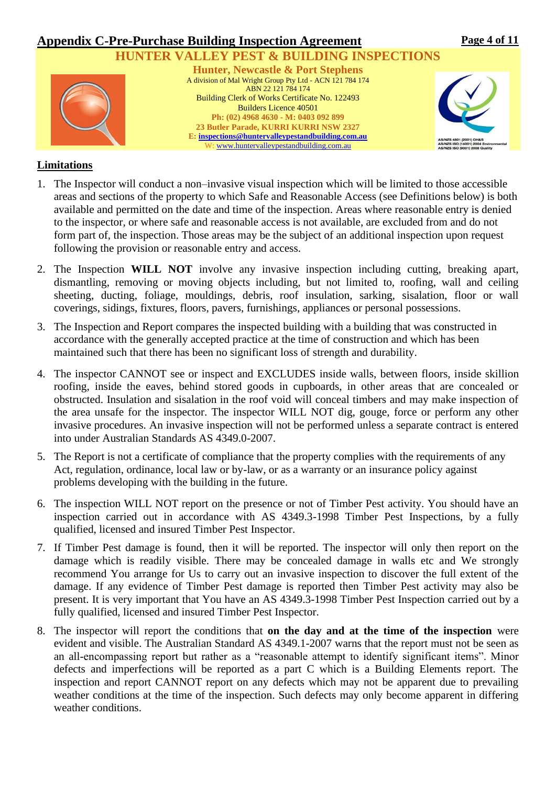#### **Appendix C-Pre-Purchase Building Inspection Agreement HUNTER VALLEY PEST & BUILDING INSPECTIONS Hunter, Newcastle & Port Stephens** A division of Mal Wright Group Pty Ltd - ACN 121 784 174 ABN 22 121 784 174 Building Clerk of Works Certificate No. 122493 Builders Licence 40501 **Ph: (02) 4968 4630 - M: 0403 092 899 23 Butler Parade, KURRI KURRI NSW 2327 E: [inspections@huntervalleypestandbuilding.com.au](mailto:inspections@huntervalleypestandbuilding.com.au)** W: [www.huntervalleypestandbuilding.com.au](http://www.huntervalleypestandbuilding.com.au/) **Page 4 of 11**

### **Limitations**

- 1. The Inspector will conduct a non–invasive visual inspection which will be limited to those accessible areas and sections of the property to which Safe and Reasonable Access (see Definitions below) is both available and permitted on the date and time of the inspection. Areas where reasonable entry is denied to the inspector, or where safe and reasonable access is not available, are excluded from and do not form part of, the inspection. Those areas may be the subject of an additional inspection upon request following the provision or reasonable entry and access.
- 2. The Inspection **WILL NOT** involve any invasive inspection including cutting, breaking apart, dismantling, removing or moving objects including, but not limited to, roofing, wall and ceiling sheeting, ducting, foliage, mouldings, debris, roof insulation, sarking, sisalation, floor or wall coverings, sidings, fixtures, floors, pavers, furnishings, appliances or personal possessions.
- 3. The Inspection and Report compares the inspected building with a building that was constructed in accordance with the generally accepted practice at the time of construction and which has been maintained such that there has been no significant loss of strength and durability.
- 4. The inspector CANNOT see or inspect and EXCLUDES inside walls, between floors, inside skillion roofing, inside the eaves, behind stored goods in cupboards, in other areas that are concealed or obstructed. Insulation and sisalation in the roof void will conceal timbers and may make inspection of the area unsafe for the inspector. The inspector WILL NOT dig, gouge, force or perform any other invasive procedures. An invasive inspection will not be performed unless a separate contract is entered into under Australian Standards AS 4349.0-2007.
- 5. The Report is not a certificate of compliance that the property complies with the requirements of any Act, regulation, ordinance, local law or by-law, or as a warranty or an insurance policy against problems developing with the building in the future.
- 6. The inspection WILL NOT report on the presence or not of Timber Pest activity. You should have an inspection carried out in accordance with AS 4349.3-1998 Timber Pest Inspections, by a fully qualified, licensed and insured Timber Pest Inspector.
- 7. If Timber Pest damage is found, then it will be reported. The inspector will only then report on the damage which is readily visible. There may be concealed damage in walls etc and We strongly recommend You arrange for Us to carry out an invasive inspection to discover the full extent of the damage. If any evidence of Timber Pest damage is reported then Timber Pest activity may also be present. It is very important that You have an AS 4349.3-1998 Timber Pest Inspection carried out by a fully qualified, licensed and insured Timber Pest Inspector.
- 8. The inspector will report the conditions that **on the day and at the time of the inspection** were evident and visible. The Australian Standard AS 4349.1-2007 warns that the report must not be seen as an all-encompassing report but rather as a "reasonable attempt to identify significant items". Minor defects and imperfections will be reported as a part C which is a Building Elements report. The inspection and report CANNOT report on any defects which may not be apparent due to prevailing weather conditions at the time of the inspection. Such defects may only become apparent in differing weather conditions.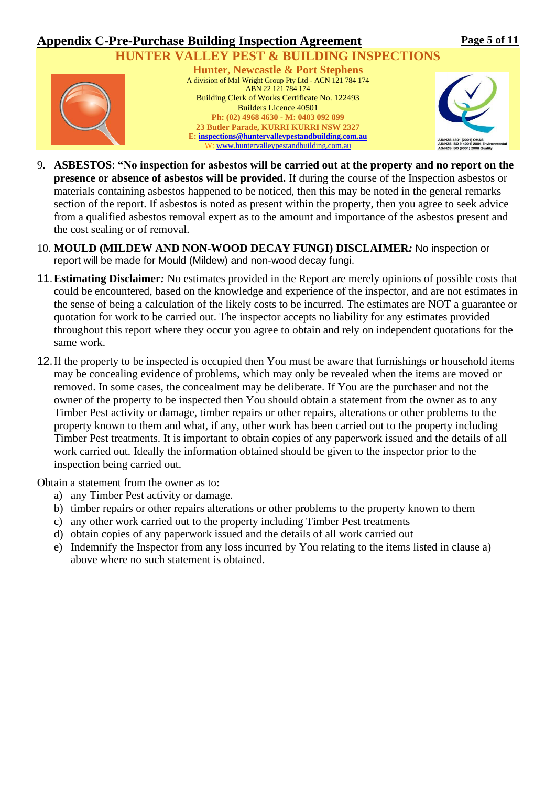

- 9. **ASBESTOS**: **"No inspection for asbestos will be carried out at the property and no report on the presence or absence of asbestos will be provided.** If during the course of the Inspection asbestos or materials containing asbestos happened to be noticed, then this may be noted in the general remarks section of the report. If asbestos is noted as present within the property, then you agree to seek advice from a qualified asbestos removal expert as to the amount and importance of the asbestos present and the cost sealing or of removal.
- 10. **MOULD (MILDEW AND NON-WOOD DECAY FUNGI) DISCLAIMER***:* No inspection or report will be made for Mould (Mildew) and non-wood decay fungi.
- 11.**Estimating Disclaimer***:* No estimates provided in the Report are merely opinions of possible costs that could be encountered, based on the knowledge and experience of the inspector, and are not estimates in the sense of being a calculation of the likely costs to be incurred. The estimates are NOT a guarantee or quotation for work to be carried out. The inspector accepts no liability for any estimates provided throughout this report where they occur you agree to obtain and rely on independent quotations for the same work.
- 12.If the property to be inspected is occupied then You must be aware that furnishings or household items may be concealing evidence of problems, which may only be revealed when the items are moved or removed. In some cases, the concealment may be deliberate. If You are the purchaser and not the owner of the property to be inspected then You should obtain a statement from the owner as to any Timber Pest activity or damage, timber repairs or other repairs, alterations or other problems to the property known to them and what, if any, other work has been carried out to the property including Timber Pest treatments. It is important to obtain copies of any paperwork issued and the details of all work carried out. Ideally the information obtained should be given to the inspector prior to the inspection being carried out.

Obtain a statement from the owner as to:

- a) any Timber Pest activity or damage.
- b) timber repairs or other repairs alterations or other problems to the property known to them
- c) any other work carried out to the property including Timber Pest treatments
- d) obtain copies of any paperwork issued and the details of all work carried out
- e) Indemnify the Inspector from any loss incurred by You relating to the items listed in clause a) above where no such statement is obtained.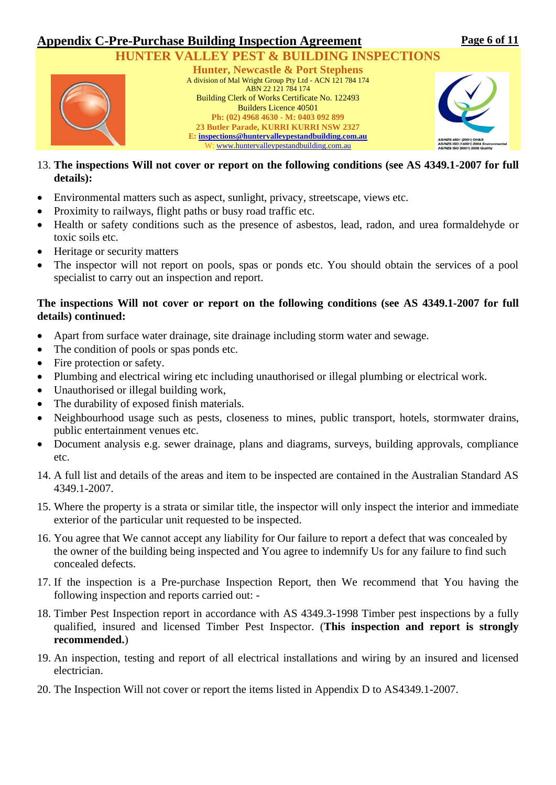

- 13. **The inspections Will not cover or report on the following conditions (see AS 4349.1-2007 for full details):**
- Environmental matters such as aspect, sunlight, privacy, streetscape, views etc.
- Proximity to railways, flight paths or busy road traffic etc.
- Health or safety conditions such as the presence of asbestos, lead, radon, and urea formaldehyde or toxic soils etc.
- Heritage or security matters
- The inspector will not report on pools, spas or ponds etc. You should obtain the services of a pool specialist to carry out an inspection and report.

### **The inspections Will not cover or report on the following conditions (see AS 4349.1-2007 for full details) continued:**

- Apart from surface water drainage, site drainage including storm water and sewage.
- The condition of pools or spas ponds etc.
- Fire protection or safety.
- Plumbing and electrical wiring etc including unauthorised or illegal plumbing or electrical work.
- Unauthorised or illegal building work,
- The durability of exposed finish materials.
- Neighbourhood usage such as pests, closeness to mines, public transport, hotels, stormwater drains, public entertainment venues etc.
- Document analysis e.g. sewer drainage, plans and diagrams, surveys, building approvals, compliance etc.
- 14. A full list and details of the areas and item to be inspected are contained in the Australian Standard AS 4349.1-2007.
- 15. Where the property is a strata or similar title, the inspector will only inspect the interior and immediate exterior of the particular unit requested to be inspected.
- 16. You agree that We cannot accept any liability for Our failure to report a defect that was concealed by the owner of the building being inspected and You agree to indemnify Us for any failure to find such concealed defects.
- 17. If the inspection is a Pre-purchase Inspection Report, then We recommend that You having the following inspection and reports carried out: -
- 18. Timber Pest Inspection report in accordance with AS 4349.3-1998 Timber pest inspections by a fully qualified, insured and licensed Timber Pest Inspector. (**This inspection and report is strongly recommended.**)
- 19. An inspection, testing and report of all electrical installations and wiring by an insured and licensed electrician.
- 20. The Inspection Will not cover or report the items listed in Appendix D to AS4349.1-2007.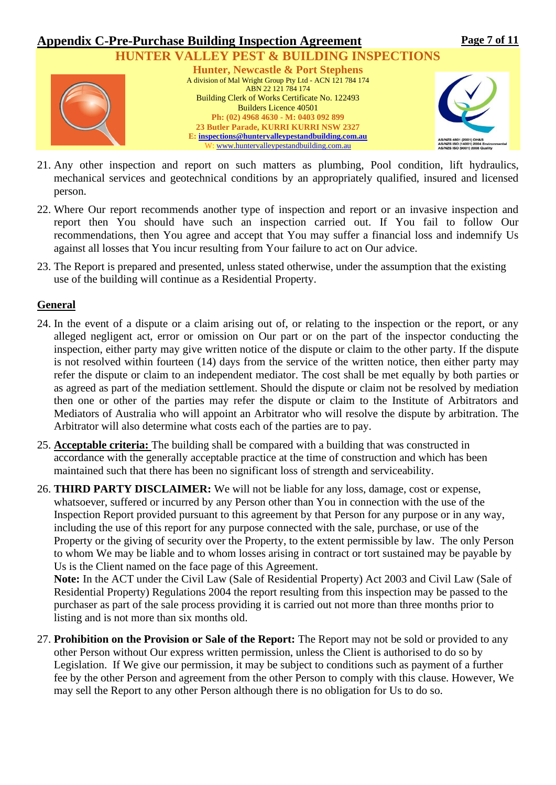

- 21. Any other inspection and report on such matters as plumbing, Pool condition, lift hydraulics, mechanical services and geotechnical conditions by an appropriately qualified, insured and licensed person.
- 22. Where Our report recommends another type of inspection and report or an invasive inspection and report then You should have such an inspection carried out. If You fail to follow Our recommendations, then You agree and accept that You may suffer a financial loss and indemnify Us against all losses that You incur resulting from Your failure to act on Our advice.
- 23. The Report is prepared and presented, unless stated otherwise, under the assumption that the existing use of the building will continue as a Residential Property.

### **General**

- 24. In the event of a dispute or a claim arising out of, or relating to the inspection or the report, or any alleged negligent act, error or omission on Our part or on the part of the inspector conducting the inspection, either party may give written notice of the dispute or claim to the other party. If the dispute is not resolved within fourteen (14) days from the service of the written notice, then either party may refer the dispute or claim to an independent mediator. The cost shall be met equally by both parties or as agreed as part of the mediation settlement. Should the dispute or claim not be resolved by mediation then one or other of the parties may refer the dispute or claim to the Institute of Arbitrators and Mediators of Australia who will appoint an Arbitrator who will resolve the dispute by arbitration. The Arbitrator will also determine what costs each of the parties are to pay.
- 25. **Acceptable criteria:** The building shall be compared with a building that was constructed in accordance with the generally acceptable practice at the time of construction and which has been maintained such that there has been no significant loss of strength and serviceability.
- 26. **THIRD PARTY DISCLAIMER:** We will not be liable for any loss, damage, cost or expense, whatsoever, suffered or incurred by any Person other than You in connection with the use of the Inspection Report provided pursuant to this agreement by that Person for any purpose or in any way, including the use of this report for any purpose connected with the sale, purchase, or use of the Property or the giving of security over the Property, to the extent permissible by law. The only Person to whom We may be liable and to whom losses arising in contract or tort sustained may be payable by Us is the Client named on the face page of this Agreement.

**Note:** In the ACT under the Civil Law (Sale of Residential Property) Act 2003 and Civil Law (Sale of Residential Property) Regulations 2004 the report resulting from this inspection may be passed to the purchaser as part of the sale process providing it is carried out not more than three months prior to listing and is not more than six months old.

27. **Prohibition on the Provision or Sale of the Report:** The Report may not be sold or provided to any other Person without Our express written permission, unless the Client is authorised to do so by Legislation. If We give our permission, it may be subject to conditions such as payment of a further fee by the other Person and agreement from the other Person to comply with this clause. However, We may sell the Report to any other Person although there is no obligation for Us to do so.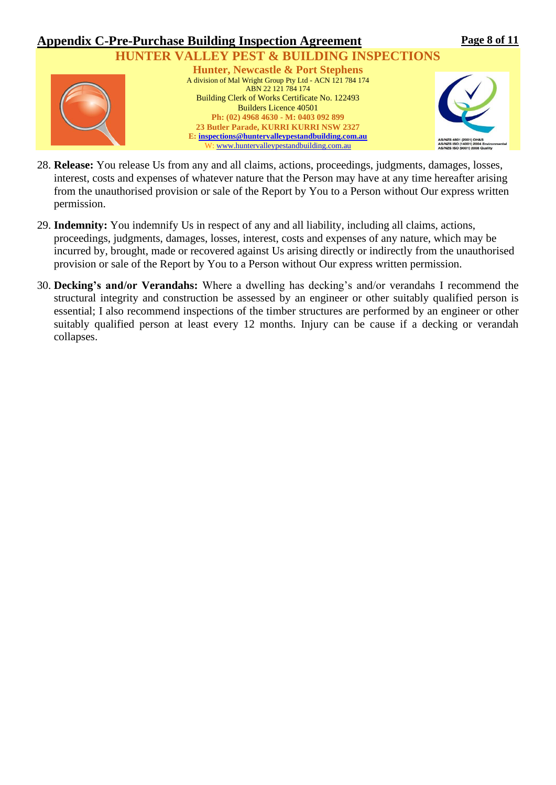

- 28. **Release:** You release Us from any and all claims, actions, proceedings, judgments, damages, losses, interest, costs and expenses of whatever nature that the Person may have at any time hereafter arising from the unauthorised provision or sale of the Report by You to a Person without Our express written permission.
- 29. **Indemnity:** You indemnify Us in respect of any and all liability, including all claims, actions, proceedings, judgments, damages, losses, interest, costs and expenses of any nature, which may be incurred by, brought, made or recovered against Us arising directly or indirectly from the unauthorised provision or sale of the Report by You to a Person without Our express written permission.
- 30. **Decking's and/or Verandahs:** Where a dwelling has decking's and/or verandahs I recommend the structural integrity and construction be assessed by an engineer or other suitably qualified person is essential; I also recommend inspections of the timber structures are performed by an engineer or other suitably qualified person at least every 12 months. Injury can be cause if a decking or verandah collapses.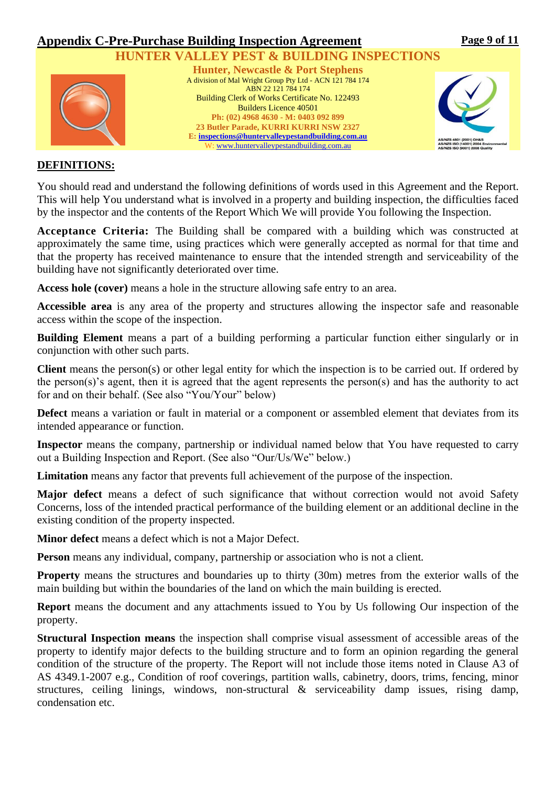

### **DEFINITIONS:**

You should read and understand the following definitions of words used in this Agreement and the Report. This will help You understand what is involved in a property and building inspection, the difficulties faced by the inspector and the contents of the Report Which We will provide You following the Inspection.

**Acceptance Criteria:** The Building shall be compared with a building which was constructed at approximately the same time, using practices which were generally accepted as normal for that time and that the property has received maintenance to ensure that the intended strength and serviceability of the building have not significantly deteriorated over time.

**Access hole (cover)** means a hole in the structure allowing safe entry to an area.

**Accessible area** is any area of the property and structures allowing the inspector safe and reasonable access within the scope of the inspection.

**Building Element** means a part of a building performing a particular function either singularly or in conjunction with other such parts.

**Client** means the person(s) or other legal entity for which the inspection is to be carried out. If ordered by the person(s)'s agent, then it is agreed that the agent represents the person(s) and has the authority to act for and on their behalf. (See also "You/Your" below)

**Defect** means a variation or fault in material or a component or assembled element that deviates from its intended appearance or function.

**Inspector** means the company, partnership or individual named below that You have requested to carry out a Building Inspection and Report. (See also "Our/Us/We" below.)

**Limitation** means any factor that prevents full achievement of the purpose of the inspection.

**Major defect** means a defect of such significance that without correction would not avoid Safety Concerns, loss of the intended practical performance of the building element or an additional decline in the existing condition of the property inspected.

**Minor defect** means a defect which is not a Major Defect.

**Person** means any individual, company, partnership or association who is not a client*.*

**Property** means the structures and boundaries up to thirty (30m) metres from the exterior walls of the main building but within the boundaries of the land on which the main building is erected.

**Report** means the document and any attachments issued to You by Us following Our inspection of the property.

**Structural Inspection means** the inspection shall comprise visual assessment of accessible areas of the property to identify major defects to the building structure and to form an opinion regarding the general condition of the structure of the property. The Report will not include those items noted in Clause A3 of AS 4349.1-2007 e.g., Condition of roof coverings, partition walls, cabinetry, doors, trims, fencing, minor structures, ceiling linings, windows, non-structural & serviceability damp issues, rising damp, condensation etc.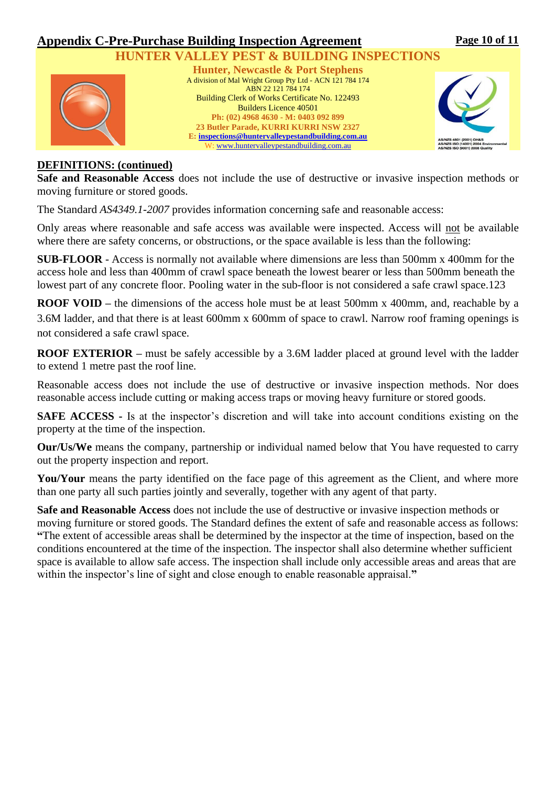

### **DEFINITIONS: (continued)**

**Safe and Reasonable Access** does not include the use of destructive or invasive inspection methods or moving furniture or stored goods.

The Standard *AS4349.1-2007* provides information concerning safe and reasonable access:

Only areas where reasonable and safe access was available were inspected. Access will not be available where there are safety concerns, or obstructions, or the space available is less than the following:

**SUB-FLOOR** - Access is normally not available where dimensions are less than 500mm x 400mm for the access hole and less than 400mm of crawl space beneath the lowest bearer or less than 500mm beneath the lowest part of any concrete floor. Pooling water in the sub-floor is not considered a safe crawl space.123

**ROOF VOID** – the dimensions of the access hole must be at least 500mm x 400mm, and, reachable by a 3.6M ladder, and that there is at least 600mm x 600mm of space to crawl. Narrow roof framing openings is not considered a safe crawl space.

**ROOF EXTERIOR** – must be safely accessible by a 3.6M ladder placed at ground level with the ladder to extend 1 metre past the roof line.

Reasonable access does not include the use of destructive or invasive inspection methods. Nor does reasonable access include cutting or making access traps or moving heavy furniture or stored goods.

**SAFE ACCESS** - Is at the inspector's discretion and will take into account conditions existing on the property at the time of the inspection.

**Our/Us/We** means the company, partnership or individual named below that You have requested to carry out the property inspection and report.

You/Your means the party identified on the face page of this agreement as the Client, and where more than one party all such parties jointly and severally, together with any agent of that party.

**Safe and Reasonable Access** does not include the use of destructive or invasive inspection methods or moving furniture or stored goods. The Standard defines the extent of safe and reasonable access as follows: **"**The extent of accessible areas shall be determined by the inspector at the time of inspection, based on the conditions encountered at the time of the inspection. The inspector shall also determine whether sufficient space is available to allow safe access. The inspection shall include only accessible areas and areas that are within the inspector's line of sight and close enough to enable reasonable appraisal.**"**